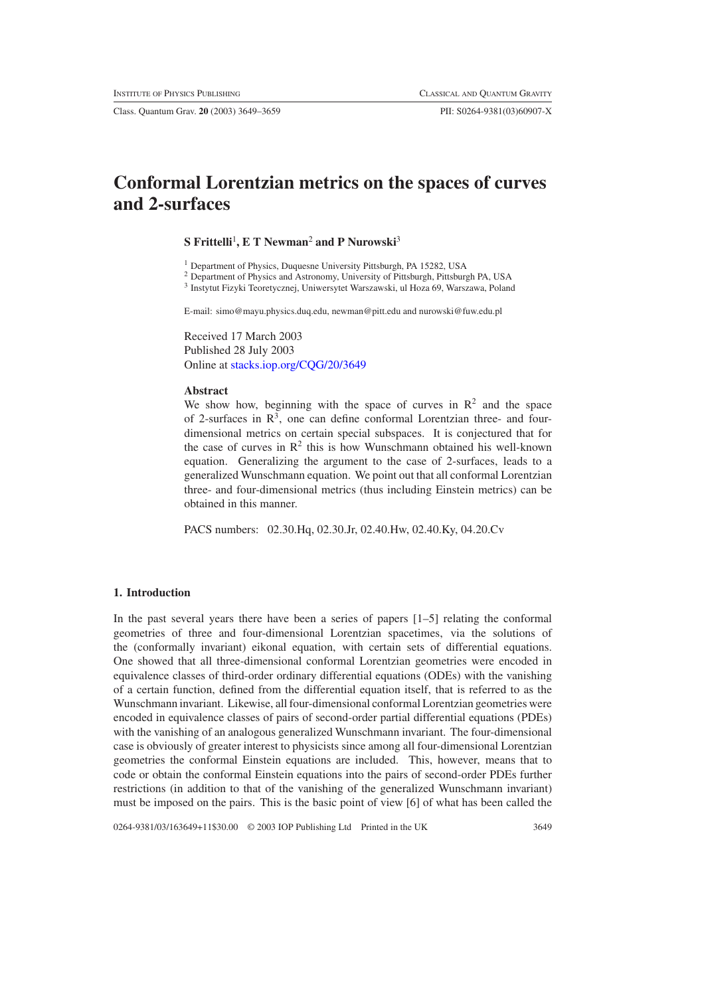Class. Quantum Grav. **20** (2003) 3649–3659 PII: S0264-9381(03)60907-X

# **Conformal Lorentzian metrics on the spaces of curves and 2-surfaces**

# **S Frittelli**<sup>1</sup> **, E T Newman**<sup>2</sup> **and P Nurowski**<sup>3</sup>

<sup>1</sup> Department of Physics, Duquesne University Pittsburgh, PA 15282, USA

<sup>2</sup> Department of Physics and Astronomy, University of Pittsburgh, Pittsburgh PA, USA

<sup>3</sup> Instytut Fizyki Teoretycznej, Uniwersytet Warszawski, ul Hoza 69, Warszawa, Poland

E-mail: simo@mayu.physics.duq.edu, newman@pitt.edu and nurowski@fuw.edu.pl

Received 17 March 2003 Published 28 July 2003 Online at [stacks.iop.org/CQG/20/3649](http://stacks.iop.org/cq/20/3649)

#### **Abstract**

We show how, beginning with the space of curves in  $\mathbb{R}^2$  and the space of 2-surfaces in  $R<sup>3</sup>$ , one can define conformal Lorentzian three- and fourdimensional metrics on certain special subspaces. It is conjectured that for the case of curves in  $\mathbb{R}^2$  this is how Wunschmann obtained his well-known equation. Generalizing the argument to the case of 2-surfaces, leads to a generalized Wunschmann equation. We point out that all conformal Lorentzian three- and four-dimensional metrics (thus including Einstein metrics) can be obtained in this manner.

PACS numbers: 02.30.Hq, 02.30.Jr, 02.40.Hw, 02.40.Ky, 04.20.Cv

# **1. Introduction**

In the past several years there have been a series of papers [1–5] relating the conformal geometries of three and four-dimensional Lorentzian spacetimes, via the solutions of the (conformally invariant) eikonal equation, with certain sets of differential equations. One showed that all three-dimensional conformal Lorentzian geometries were encoded in equivalence classes of third-order ordinary differential equations (ODEs) with the vanishing of a certain function, defined from the differential equation itself, that is referred to as the Wunschmann invariant. Likewise, all four-dimensional conformal Lorentzian geometries were encoded in equivalence classes of pairs of second-order partial differential equations (PDEs) with the vanishing of an analogous generalized Wunschmann invariant. The four-dimensional case is obviously of greater interest to physicists since among all four-dimensional Lorentzian geometries the conformal Einstein equations are included. This, however, means that to code or obtain the conformal Einstein equations into the pairs of second-order PDEs further restrictions (in addition to that of the vanishing of the generalized Wunschmann invariant) must be imposed on the pairs. This is the basic point of view [6] of what has been called the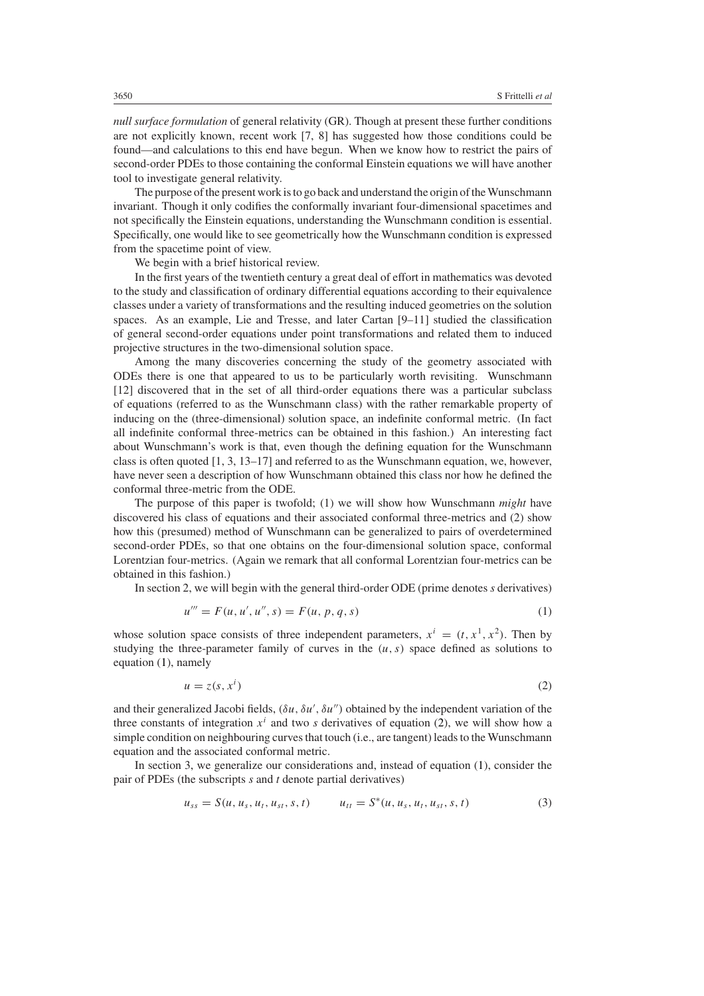*null surface formulation* of general relativity (GR). Though at present these further conditions are not explicitly known, recent work [7, 8] has suggested how those conditions could be found—and calculations to this end have begun. When we know how to restrict the pairs of second-order PDEs to those containing the conformal Einstein equations we will have another tool to investigate general relativity.

The purpose of the present work is to go back and understand the origin of the Wunschmann invariant. Though it only codifies the conformally invariant four-dimensional spacetimes and not specifically the Einstein equations, understanding the Wunschmann condition is essential. Specifically, one would like to see geometrically how the Wunschmann condition is expressed from the spacetime point of view.

We begin with a brief historical review.

In the first years of the twentieth century a great deal of effort in mathematics was devoted to the study and classification of ordinary differential equations according to their equivalence classes under a variety of transformations and the resulting induced geometries on the solution spaces. As an example, Lie and Tresse, and later Cartan [9–11] studied the classification of general second-order equations under point transformations and related them to induced projective structures in the two-dimensional solution space.

Among the many discoveries concerning the study of the geometry associated with ODEs there is one that appeared to us to be particularly worth revisiting. Wunschmann [12] discovered that in the set of all third-order equations there was a particular subclass of equations (referred to as the Wunschmann class) with the rather remarkable property of inducing on the (three-dimensional) solution space, an indefinite conformal metric. (In fact all indefinite conformal three-metrics can be obtained in this fashion.) An interesting fact about Wunschmann's work is that, even though the defining equation for the Wunschmann class is often quoted [1, 3, 13–17] and referred to as the Wunschmann equation, we, however, have never seen a description of how Wunschmann obtained this class nor how he defined the conformal three-metric from the ODE.

The purpose of this paper is twofold; (1) we will show how Wunschmann *might* have discovered his class of equations and their associated conformal three-metrics and (2) show how this (presumed) method of Wunschmann can be generalized to pairs of overdetermined second-order PDEs, so that one obtains on the four-dimensional solution space, conformal Lorentzian four-metrics. (Again we remark that all conformal Lorentzian four-metrics can be obtained in this fashion.)

<span id="page-1-0"></span>In section 2, we will begin with the general third-order ODE (prime denotes *s* derivatives)

$$
u''' = F(u, u', u'', s) = F(u, p, q, s)
$$
\n(1)

<span id="page-1-1"></span>whose solution space consists of three independent parameters,  $x^i = (t, x^1, x^2)$ . Then by studying the three-parameter family of curves in the  $(u, s)$  space defined as solutions to equation [\(1\)](#page-1-0), namely

$$
u = z(s, xi)
$$
 (2)

and their generalized Jacobi fields, *(δu, δu , δu)* obtained by the independent variation of the three constants of integration  $x^i$  and two *s* derivatives of equation [\(2\)](#page-1-1), we will show how a simple condition on neighbouring curves that touch (i.e., are tangent) leads to the Wunschmann equation and the associated conformal metric.

In section 3, we generalize our considerations and, instead of equation [\(1\)](#page-1-0), consider the pair of PDEs (the subscripts *s* and *t* denote partial derivatives)

$$
u_{ss} = S(u, u_s, u_t, u_{st}, s, t) \qquad u_{tt} = S^*(u, u_s, u_t, u_{st}, s, t) \tag{3}
$$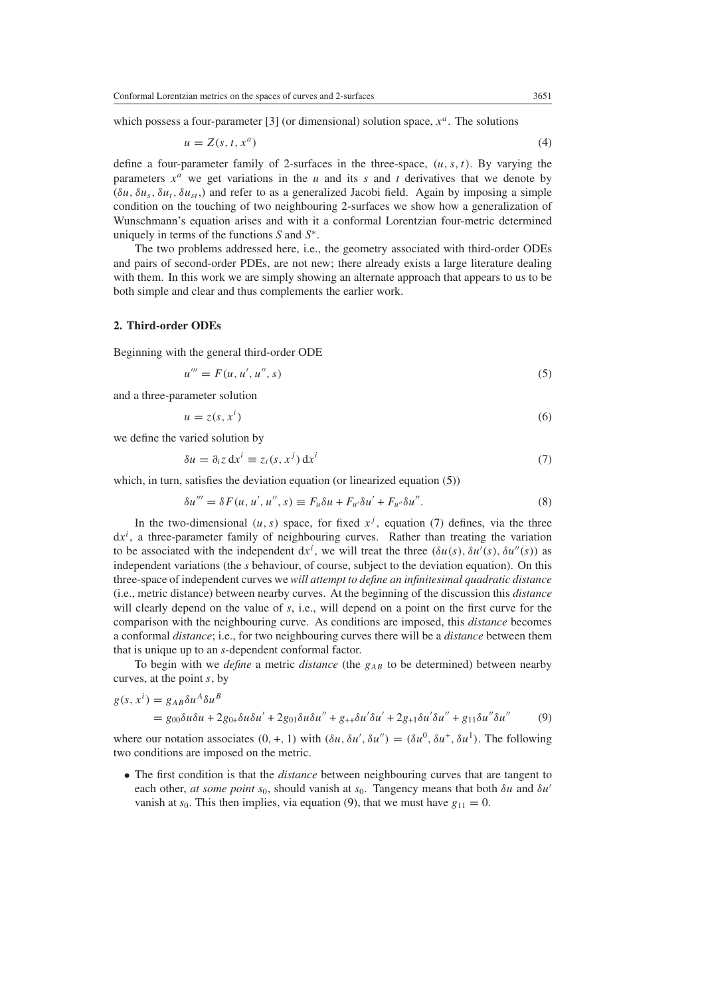which possess a four-parameter [3] (or dimensional) solution space, *x<sup>a</sup>*. The solutions

$$
u = Z(s, t, x^a) \tag{4}
$$

define a four-parameter family of 2-surfaces in the three-space,  $(u, s, t)$ . By varying the parameters  $x^a$  we get variations in the *u* and its *s* and *t* derivatives that we denote by  $(\delta u, \delta u_s, \delta u_t, \delta u_s)$  and refer to as a generalized Jacobi field. Again by imposing a simple condition on the touching of two neighbouring 2-surfaces we show how a generalization of Wunschmann's equation arises and with it a conformal Lorentzian four-metric determined uniquely in terms of the functions *S* and *S*<sup>∗</sup>*.*

The two problems addressed here, i.e., the geometry associated with third-order ODEs and pairs of second-order PDEs, are not new; there already exists a large literature dealing with them. In this work we are simply showing an alternate approach that appears to us to be both simple and clear and thus complements the earlier work.

#### **2. Third-order ODEs**

<span id="page-2-0"></span>Beginning with the general third-order ODE

$$
u''' = F(u, u', u'', s) \tag{5}
$$

and a three-parameter solution

$$
u = z(s, x^i) \tag{6}
$$

<span id="page-2-1"></span>we define the varied solution by

$$
\delta u = \partial_i z \, dx^i \equiv z_i(s, x^j) \, dx^i \tag{7}
$$

which, in turn, satisfies the deviation equation (or linearized equation  $(5)$ )

$$
\delta u''' = \delta F(u, u', u'', s) \equiv F_u \delta u + F_{u'} \delta u' + F_{u''} \delta u''.
$$
\n
$$
(8)
$$

In the two-dimensional  $(u, s)$  space, for fixed  $x<sup>j</sup>$ , equation [\(7\)](#page-2-1) defines, via the three  $dx^{i}$ , a three-parameter family of neighbouring curves. Rather than treating the variation to be associated with the independent  $dx^i$ , we will treat the three  $(\delta u(s), \delta u'(s), \delta u''(s))$  as independent variations (the *s* behaviour, of course, subject to the deviation equation). On this three-space of independent curves we *will attempt to define an infinitesimal quadratic distance* (i.e., metric distance) between nearby curves. At the beginning of the discussion this *distance* will clearly depend on the value of *s*, i.e., will depend on a point on the first curve for the comparison with the neighbouring curve. As conditions are imposed, this *distance* becomes a conformal *distance*; i.e., for two neighbouring curves there will be a *distance* between them that is unique up to an *s*-dependent conformal factor.

To begin with we *define* a metric *distance* (the  $g_{AB}$  to be determined) between nearby curves, at the point *s*, by

<span id="page-2-2"></span>
$$
g(s, x^i) = g_{AB} \delta u^A \delta u^B
$$

$$
= g_{00}\delta u \delta u + 2g_{0+}\delta u \delta u' + 2g_{01}\delta u \delta u'' + g_{++}\delta u' \delta u' + 2g_{+1}\delta u' \delta u'' + g_{11}\delta u'' \delta u''
$$
 (9)

where our notation associates  $(0, +, 1)$  with  $(\delta u, \delta u', \delta u'') = (\delta u^0, \delta u^+, \delta u^1)$ . The following two conditions are imposed on the metric.

• The first condition is that the *distance* between neighbouring curves that are tangent to each other, *at some point s*0, should vanish at *s*0. Tangency means that both *δu* and *δu* vanish at  $s_0$ . This then implies, via equation [\(9\)](#page-2-2), that we must have  $g_{11} = 0$ .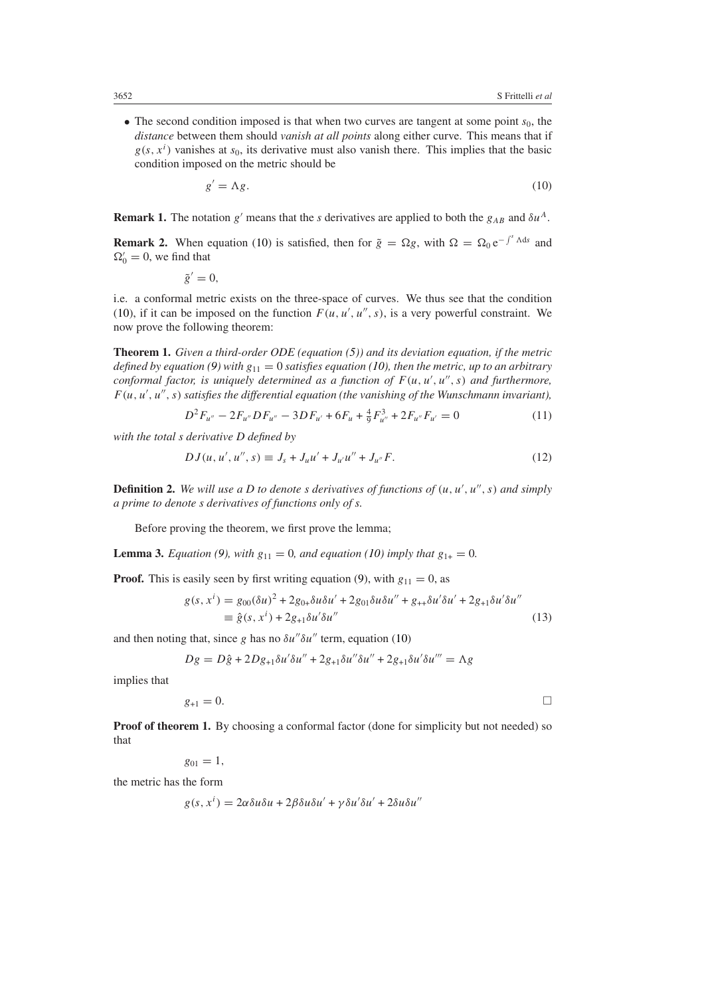<span id="page-3-0"></span>• The second condition imposed is that when two curves are tangent at some point  $s<sub>0</sub>$ , the *distance* between them should *vanish at all points* along either curve. This means that if  $g(s, x^i)$  vanishes at  $s_0$ , its derivative must also vanish there. This implies that the basic condition imposed on the metric should be

$$
g' = \Lambda g. \tag{10}
$$

**Remark 1.** The notation *g'* means that the *s* derivatives are applied to both the  $g_{AB}$  and  $\delta u^A$ .

**Remark 2.** When equation [\(10\)](#page-3-0) is satisfied, then for  $\tilde{g} = \Omega g$ , with  $\Omega = \Omega_0 e^{-\int^s \Lambda ds}$  and  $\Omega'_0 = 0$ , we find that

 $\tilde{g}' = 0$ ,

i.e. a conformal metric exists on the three-space of curves. We thus see that the condition [\(10\)](#page-3-0), if it can be imposed on the function  $F(u, u', u'', s)$ , is a very powerful constraint. We now prove the following theorem:

**Theorem 1.** *Given a third-order ODE (equation [\(5\)](#page-2-0)) and its deviation equation, if the metric defined by equation* [\(9\)](#page-2-2) with  $g_{11} = 0$  *satisfies equation* [\(10\)](#page-3-0), then the metric, up to an arbitrary *conformal factor, is uniquely determined as a function of*  $F(u, u', u'', s)$  *and furthermore,*  $F(u, u', u'', s)$  *satisfies the differential equation (the vanishing of the Wunschmann invariant)*,

$$
D^{2}F_{u''} - 2F_{u''}DF_{u''} - 3DF_{u'} + 6F_{u} + \frac{4}{9}F_{u''}^{3} + 2F_{u''}F_{u'} = 0
$$
\n(11)

*with the total s derivative D defined by*

$$
DJ(u, u', u'', s) \equiv J_s + J_u u' + J_{u'} u'' + J_{u''} F. \tag{12}
$$

**Definition 2.** We will use a D to denote s derivatives of functions of  $(u, u', u'', s)$  and simply *a prime to denote s derivatives of functions only of s.*

Before proving the theorem, we first prove the lemma;

**Lemma 3.** *Equation [\(9\)](#page-2-2), with*  $g_{11} = 0$ *, and equation [\(10\)](#page-3-0) imply that*  $g_{1+} = 0$ *.* 

**Proof.** This is easily seen by first writing equation [\(9\)](#page-2-2), with  $g_{11} = 0$ , as

$$
g(s, x^{i}) = g_{00}(\delta u)^{2} + 2g_{0+} \delta u \delta u' + 2g_{01} \delta u \delta u'' + g_{++} \delta u' \delta u' + 2g_{+1} \delta u' \delta u''
$$
  

$$
\equiv \hat{g}(s, x^{i}) + 2g_{+1} \delta u' \delta u''
$$
(13)

and then noting that, since *g* has no  $\delta u'' \delta u''$  term, equation [\(10\)](#page-3-0)

$$
Dg = D\hat{g} + 2Dg_{+1}\delta u'\delta u'' + 2g_{+1}\delta u''\delta u'' + 2g_{+1}\delta u'\delta u''' = \Lambda g
$$

implies that

 $g_{+1} = 0.$ 

**Proof of theorem 1.** By choosing a conformal factor (done for simplicity but not needed) so that

 $g_{01} = 1$ ,

the metric has the form

$$
g(s, x^{i}) = 2\alpha \delta u \delta u + 2\beta \delta u \delta u' + \gamma \delta u' \delta u' + 2\delta u \delta u''
$$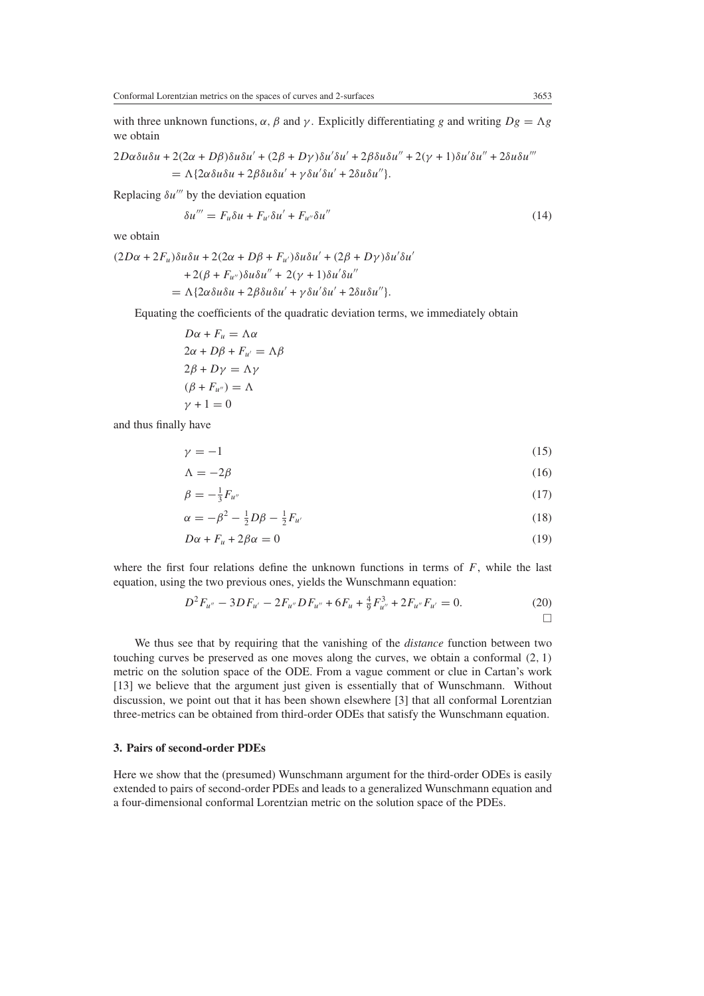with three unknown functions,  $\alpha$ ,  $\beta$  and  $\gamma$ . Explicitly differentiating *g* and writing  $Dg = \Lambda g$ we obtain

$$
2D\alpha\delta u\delta u + 2(2\alpha + D\beta)\delta u\delta u' + (2\beta + D\gamma)\delta u'\delta u' + 2\beta\delta u\delta u'' + 2(\gamma + 1)\delta u'\delta u'' + 2\delta u\delta u'''
$$
  
=  $\Lambda \{2\alpha\delta u\delta u + 2\beta\delta u\delta u' + \gamma\delta u'\delta u' + 2\delta u\delta u''\}.$ 

Replacing  $\delta u'''$  by the deviation equation

$$
\delta u''' = F_u \delta u + F_{u'} \delta u' + F_{u''} \delta u'' \tag{14}
$$

we obtain

*(*2*Dα* + 2*Fu)δuδu* + 2*(*2*α* + *Dβ* + *Fu)δuδu* + *(*2*β* + *Dγ )δu δu* +  $2(\beta + F_{u''})\delta u \delta u'' + 2(\gamma + 1)\delta u' \delta u''$  $= \Lambda \{2\alpha \delta u \delta u + 2\beta \delta u \delta u' + \gamma \delta u' \delta u' + 2\delta u \delta u''\}.$ 

Equating the coefficients of the quadratic deviation terms, we immediately obtain

*Dα* +  $F_u$  =  $Λα$  $2\alpha + D\beta + F_{\mu'} = \Lambda \beta$  $2\beta + D\gamma = \Lambda\gamma$  $(\beta + F_{u''}) = \Lambda$  $\gamma + 1 = 0$ 

and thus finally have

$$
\gamma = -1 \tag{15}
$$

$$
\Lambda = -2\beta \tag{16}
$$

$$
\beta = -\frac{1}{3}F_{u''}
$$
\n<sup>(17)</sup>

$$
\alpha = -\beta^2 - \frac{1}{2}D\beta - \frac{1}{2}F_{u'}\tag{18}
$$

$$
D\alpha + F_u + 2\beta\alpha = 0\tag{19}
$$

where the first four relations define the unknown functions in terms of  $F$ , while the last equation, using the two previous ones, yields the Wunschmann equation:

$$
D^{2}F_{u''} - 3DF_{u'} - 2F_{u''}DF_{u''} + 6F_{u} + \frac{4}{9}F_{u''}^{3} + 2F_{u''}F_{u'} = 0.
$$
\n<sup>(20)</sup>

We thus see that by requiring that the vanishing of the *distance* function between two touching curves be preserved as one moves along the curves, we obtain a conformal *(*2*,* 1*)* metric on the solution space of the ODE. From a vague comment or clue in Cartan's work [13] we believe that the argument just given is essentially that of Wunschmann. Without discussion, we point out that it has been shown elsewhere [3] that all conformal Lorentzian three-metrics can be obtained from third-order ODEs that satisfy the Wunschmann equation.

# **3. Pairs of second-order PDEs**

Here we show that the (presumed) Wunschmann argument for the third-order ODEs is easily extended to pairs of second-order PDEs and leads to a generalized Wunschmann equation and a four-dimensional conformal Lorentzian metric on the solution space of the PDEs.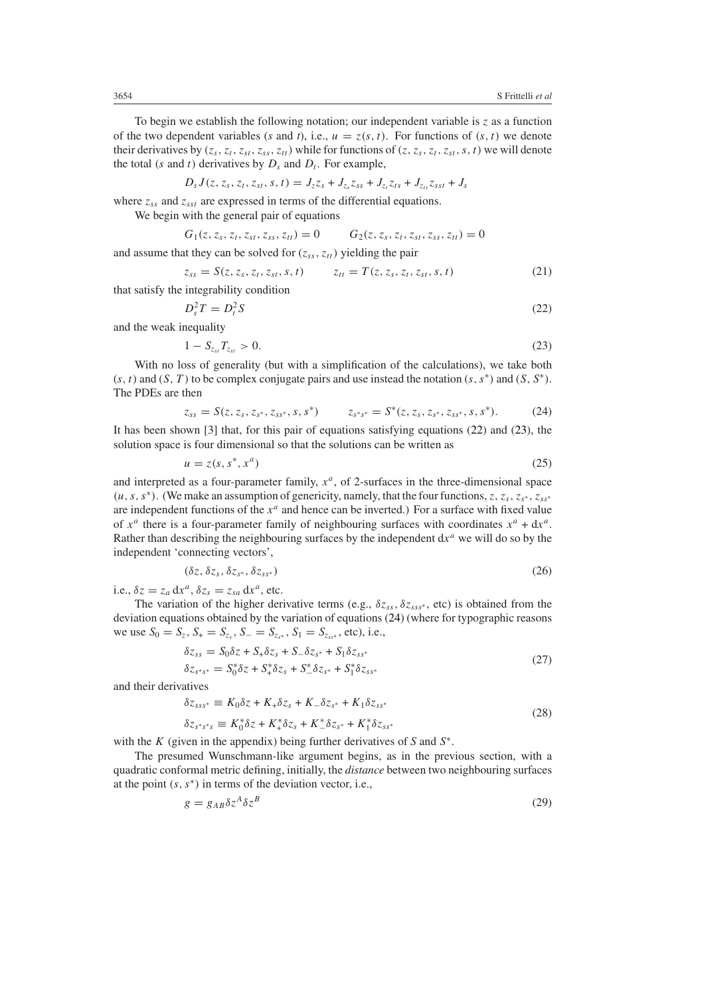To begin we establish the following notation; our independent variable is  $z$  as a function of the two dependent variables (*s* and *t*), i.e.,  $u = z(s, t)$ . For functions of  $(s, t)$  we denote their derivatives by  $(z_s, z_t, z_{st}, z_{ss}, z_{tt})$  while for functions of  $(z, z_s, z_t, z_{st}, s, t)$  we will denote the total *(s* and *t)* derivatives by  $D_s$  and  $D_t$ . For example,

$$
D_s J(z, z_s, z_t, z_{st}, s, t) = J_z z_s + J_{z_s} z_{ss} + J_{z_t} z_{ts} + J_{z_{ts}} z_{sst} + J_s
$$

where  $z_{ss}$  and  $z_{sst}$  are expressed in terms of the differential equations.

We begin with the general pair of equations

$$
G_1(z, z_s, z_t, z_{st}, z_{ss}, z_{tt}) = 0 \qquad G_2(z, z_s, z_t, z_{st}, z_{ss}, z_{tt}) = 0
$$

and assume that they can be solved for  $(z_{ss}, z_{tt})$  yielding the pair

$$
z_{ss} = S(z, z_s, z_t, z_{st}, s, t) \qquad z_{tt} = T(z, z_s, z_t, z_{st}, s, t) \tag{21}
$$

<span id="page-5-0"></span>that satisfy the integrability condition

$$
D_s^2 T = D_t^2 S \tag{22}
$$

<span id="page-5-1"></span>and the weak inequality

$$
1 - S_{z_{st}} T_{z_{st}} > 0.
$$
\n(23)

<span id="page-5-2"></span>With no loss of generality (but with a simplification of the calculations), we take both  $(s, t)$  and  $(S, T)$  to be complex conjugate pairs and use instead the notation  $(s, s^*)$  and  $(S, S^*)$ . The PDEs are then

$$
z_{ss} = S(z, z_s, z_{s^*}, z_{ss^*}, s, s^*) \qquad z_{s^*s^*} = S^*(z, z_s, z_{s^*}, z_{ss^*}, s, s^*).
$$
 (24)

It has been shown [3] that, for this pair of equations satisfying equations [\(22\)](#page-5-0) and [\(23\)](#page-5-1), the solution space is four dimensional so that the solutions can be written as

$$
u = z(s, s^*, x^a) \tag{25}
$$

and interpreted as a four-parameter family,  $x^a$ , of 2-surfaces in the three-dimensional space *(u, s, s*<sup>∗</sup>). (We make an assumption of genericity, namely, that the four functions, *z*, *z<sub>s</sub>*, *z<sub>s</sub>*∗, *z<sub>ss</sub>*∗ are independent functions of the  $x^a$  and hence can be inverted.) For a surface with fixed value of  $x^a$  there is a four-parameter family of neighbouring surfaces with coordinates  $x^a + dx^a$ . Rather than describing the neighbouring surfaces by the independent  $dx^a$  we will do so by the independent 'connecting vectors',

$$
(\delta z, \delta z_s, \delta z_{s^*}, \delta z_{s^*})
$$
\n
$$
(26)
$$

i.e.,  $\delta z = z_a dx^a$ ,  $\delta z_s = z_{sa} dx^a$ , etc.

The variation of the higher derivative terms (e.g.,  $\delta z_{ss}$ ,  $\delta z_{ss}$ <sup>\*</sup>, etc) is obtained from the deviation equations obtained by the variation of equations [\(24\)](#page-5-2) (where for typographic reasons we use  $S_0 = S_z$ ,  $S_+ = S_{z_s}$ ,  $S_- = S_{z_{s*}}$ ,  $S_1 = S_{z_{s*}}$ , etc), i.e.,

$$
\delta z_{ss} = S_0 \delta z + S_+ \delta z_s + S_- \delta z_{s^*} + S_1 \delta z_{ss^*}
$$
  
\n
$$
\delta z_{s^*s^*} = S_0^* \delta z + S_+^* \delta z_s + S_-^* \delta z_{s^*} + S_1^* \delta z_{ss^*}
$$
\n(27)

and their derivatives

$$
\delta z_{sss^*} \equiv K_0 \delta z + K_+ \delta z_s + K_- \delta z_{s^*} + K_1 \delta z_{ss^*}
$$
  
\n
$$
\delta z_{s^*s^*s} \equiv K_0^* \delta z + K_+^* \delta z_s + K_-^* \delta z_{s^*} + K_1^* \delta z_{ss^*}
$$
\n(28)

with the *K* (given in the appendix) being further derivatives of *S* and *S*<sup>∗</sup>.

<span id="page-5-3"></span>The presumed Wunschmann-like argument begins, as in the previous section, with a quadratic conformal metric defining, initially, the *distance* between two neighbouring surfaces at the point  $(s, s^*)$  in terms of the deviation vector, i.e.,

$$
g = g_{AB} \delta z^A \delta z^B \tag{29}
$$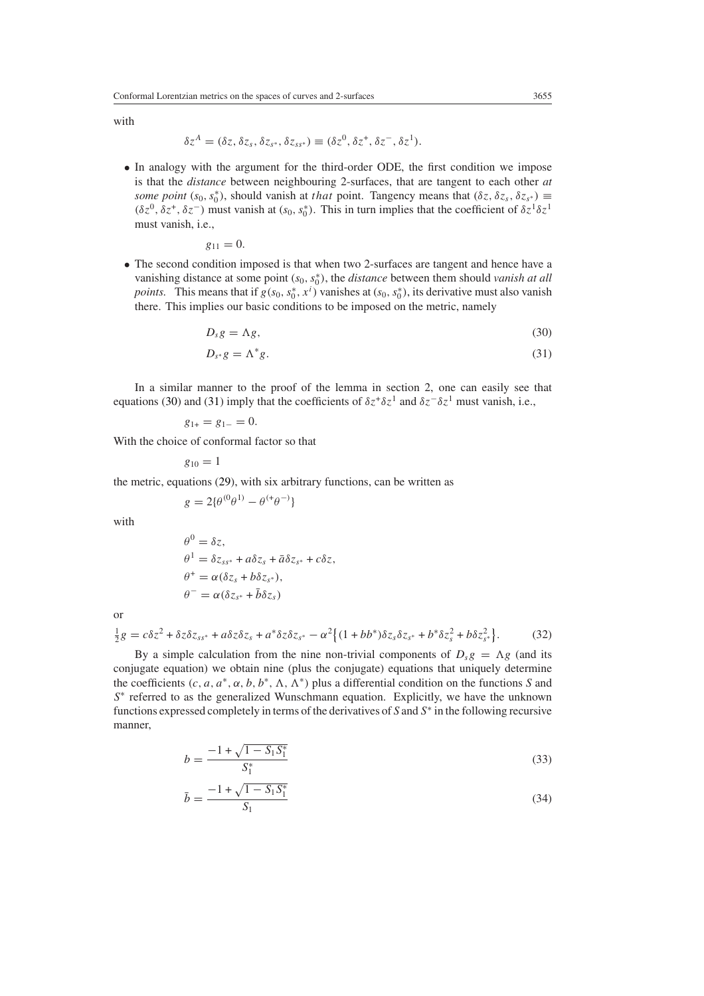with

$$
\delta z^A = (\delta z, \delta z_s, \delta z_{s^*}, \delta z_{ss^*}) \equiv (\delta z^0, \delta z^+, \delta z^-, \delta z^1).
$$

• In analogy with the argument for the third-order ODE, the first condition we impose is that the *distance* between neighbouring 2-surfaces, that are tangent to each other *at some point* ( $s_0$ ,  $s_0^*$ ), should vanish at *that* point. Tangency means that ( $\delta z$ ,  $\delta z_s$ ,  $\delta z_{s^*}$ )  $\equiv$ *(δz*<sup>0</sup>, *δz*<sup>+</sup>, *δz*<sup>−</sup>) must vanish at (*s*<sub>0</sub>, *s*<sup>\*</sup><sub>0</sub>). This in turn implies that the coefficient of  $δz<sup>1</sup>δz<sup>1</sup>$ must vanish, i.e.,

$$
g_{11}=0.
$$

<span id="page-6-0"></span>• The second condition imposed is that when two 2-surfaces are tangent and hence have a vanishing distance at some point  $(s_0, s_0^*)$ , the *distance* between them should *vanish at all points.* This means that if  $g(s_0, s_0^*, x^i)$  vanishes at  $(s_0, s_0^*)$ , its derivative must also vanish there. This implies our basic conditions to be imposed on the metric, namely

$$
D_s g = \Lambda g,\tag{30}
$$

$$
D_{s^*}g = \Lambda^*g. \tag{31}
$$

<span id="page-6-1"></span>In a similar manner to the proof of the lemma in section 2, one can easily see that equations [\(30\)](#page-6-0) and [\(31\)](#page-6-1) imply that the coefficients of  $\delta z^+\delta z^1$  and  $\delta z^-\delta z^1$  must vanish, i.e.,

$$
g_{1+} = g_{1-} = 0.
$$

With the choice of conformal factor so that

$$
g_{10}=1
$$

the metric, equations [\(29\)](#page-5-3), with six arbitrary functions, can be written as

$$
g = 2\{\theta^{(0}\theta^{1)} - \theta^{(+}\theta^{-)}\}
$$

with

$$
\theta^0 = \delta z,
$$
  
\n
$$
\theta^1 = \delta z_{ss^*} + a \delta z_s + \bar{a} \delta z_{s^*} + c \delta z,
$$
  
\n
$$
\theta^+ = \alpha (\delta z_s + b \delta z_{s^*}),
$$
  
\n
$$
\theta^- = \alpha (\delta z_{s^*} + \bar{b} \delta z_s)
$$

<span id="page-6-2"></span>or

$$
\frac{1}{2}g = c\delta z^2 + \delta z \delta z_{ss^*} + a\delta z \delta z_s + a^* \delta z \delta z_{s^*} - \alpha^2 \left\{ (1 + b b^*) \delta z_s \delta z_{s^*} + b^* \delta z_s^2 + b \delta z_{s^*}^2 \right\}.
$$
 (32)

By a simple calculation from the nine non-trivial components of  $D_s g = \Lambda g$  (and its conjugate equation) we obtain nine (plus the conjugate) equations that uniquely determine the coefficients  $(c, a, a^*, \alpha, b, b^*, \Lambda, \Lambda^*)$  plus a differential condition on the functions *S* and *S*<sup>∗</sup> referred to as the generalized Wunschmann equation. Explicitly, we have the unknown functions expressed completely in terms of the derivatives of *S* and *S*<sup>∗</sup> in the following recursive manner,

<span id="page-6-3"></span>
$$
b = \frac{-1 + \sqrt{1 - S_1 S_1^*}}{S_1^*} \tag{33}
$$

$$
\bar{b} = \frac{-1 + \sqrt{1 - S_1 S_1^*}}{S_1} \tag{34}
$$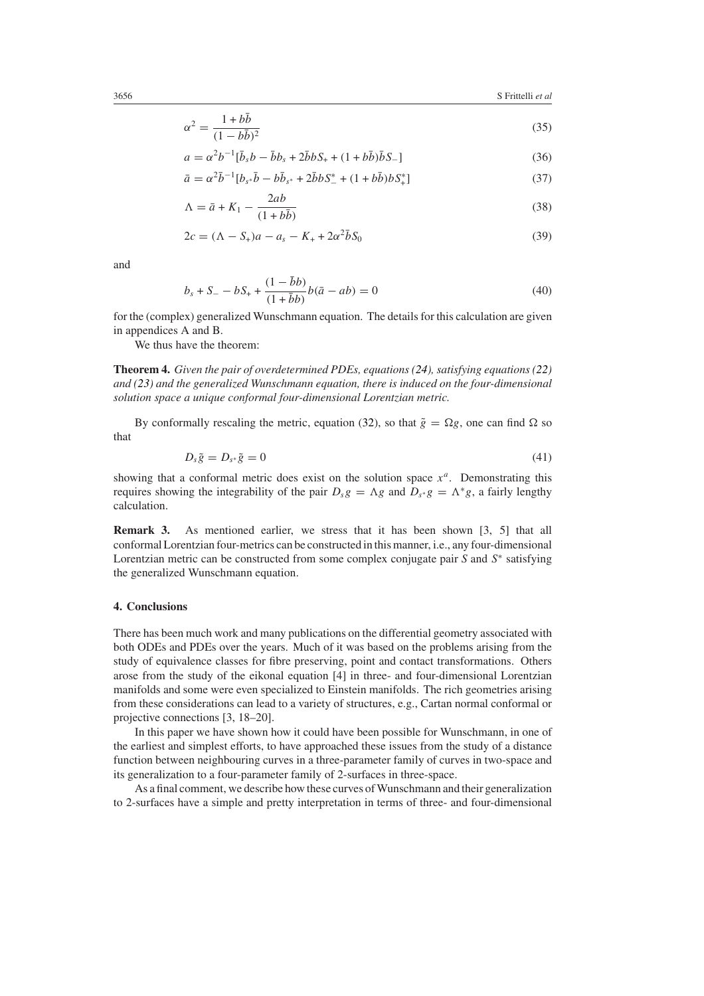$$
\alpha^2 = \frac{1 + b\bar{b}}{(1 - b\bar{b})^2} \tag{35}
$$

$$
a = \alpha^2 b^{-1} [\bar{b}_s b - \bar{b}b_s + 2\bar{b}bS_+ + (1 + b\bar{b})\bar{b}S_-]
$$
\n(36)

$$
\bar{a} = \alpha^2 \bar{b}^{-1} [b_{s*} \bar{b} - b \bar{b}_{s*} + 2 \bar{b} b S^*_{-} + (1 + b \bar{b}) b S^*_{+}]
$$
\n(37)

$$
\Lambda = \bar{a} + K_1 - \frac{2ab}{(1+b\bar{b})}
$$
\n(38)

$$
2c = (\Lambda - S_+)a - a_s - K_+ + 2\alpha^2 \bar{b} S_0 \tag{39}
$$

and

$$
b_s + S_- - bS_+ + \frac{(1 - \bar{b}b)}{(1 + \bar{b}b)}b(\bar{a} - ab) = 0
$$
\n(40)

for the (complex) generalized Wunschmann equation. The details for this calculation are given in appendices A and B.

We thus have the theorem:

**Theorem 4.** *Given the pair of overdetermined PDEs, equations [\(24\)](#page-5-2), satisfying equations [\(22\)](#page-5-0) and [\(23\)](#page-5-1) and the generalized Wunschmann equation, there is induced on the four-dimensional solution space a unique conformal four-dimensional Lorentzian metric.*

By conformally rescaling the metric, equation [\(32\)](#page-6-2), so that  $\tilde{g} = \Omega g$ , one can find  $\Omega$  so that

$$
D_s \tilde{g} = D_{s^*} \tilde{g} = 0 \tag{41}
$$

showing that a conformal metric does exist on the solution space  $x<sup>a</sup>$ . Demonstrating this requires showing the integrability of the pair  $D_s g = \Lambda g$  and  $D_{s*} g = \Lambda^* g$ , a fairly lengthy calculation.

**Remark 3.** As mentioned earlier, we stress that it has been shown [3, 5] that all conformal Lorentzian four-metrics can be constructed in this manner, i.e., any four-dimensional Lorentzian metric can be constructed from some complex conjugate pair *S* and *S*<sup>∗</sup> satisfying the generalized Wunschmann equation.

#### **4. Conclusions**

There has been much work and many publications on the differential geometry associated with both ODEs and PDEs over the years. Much of it was based on the problems arising from the study of equivalence classes for fibre preserving, point and contact transformations. Others arose from the study of the eikonal equation [4] in three- and four-dimensional Lorentzian manifolds and some were even specialized to Einstein manifolds. The rich geometries arising from these considerations can lead to a variety of structures, e.g., Cartan normal conformal or projective connections [3, 18–20].

In this paper we have shown how it could have been possible for Wunschmann, in one of the earliest and simplest efforts, to have approached these issues from the study of a distance function between neighbouring curves in a three-parameter family of curves in two-space and its generalization to a four-parameter family of 2-surfaces in three-space.

As a final comment, we describe how these curves of Wunschmann and their generalization to 2-surfaces have a simple and pretty interpretation in terms of three- and four-dimensional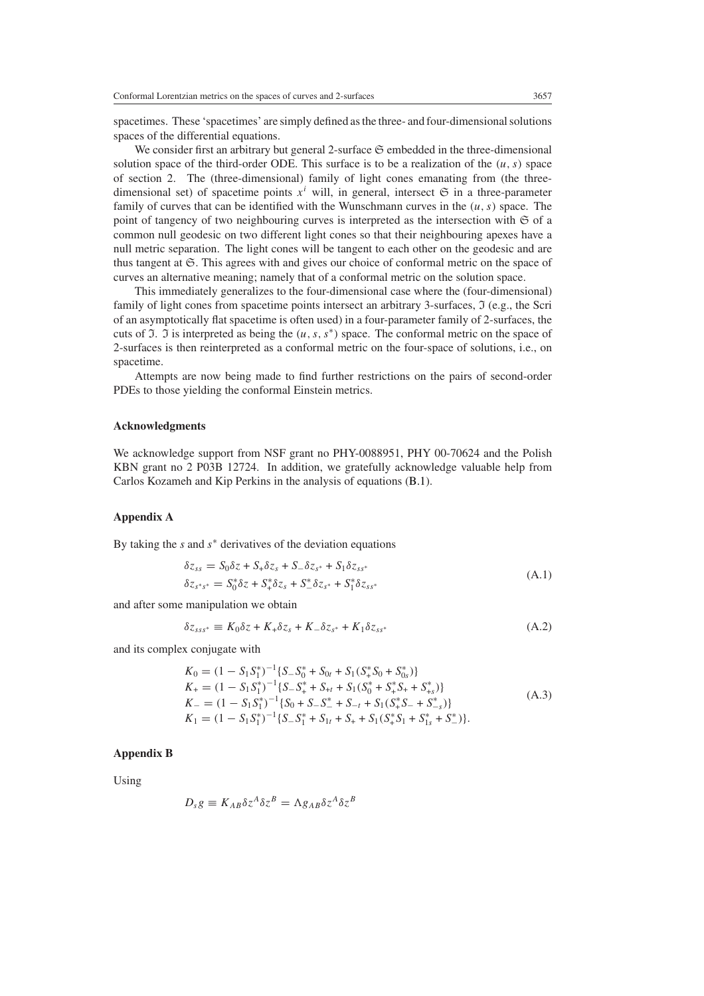spacetimes. These 'spacetimes' are simply defined as the three- and four-dimensional solutions spaces of the differential equations.

We consider first an arbitrary but general 2-surface  $\mathfrak S$  embedded in the three-dimensional solution space of the third-order ODE. This surface is to be a realization of the  $(u, s)$  space of section 2. The (three-dimensional) family of light cones emanating from (the threedimensional set) of spacetime points  $x<sup>i</sup>$  will, in general, intersect  $\mathfrak{S}$  in a three-parameter family of curves that can be identified with the Wunschmann curves in the  $(u, s)$  space. The point of tangency of two neighbouring curves is interpreted as the intersection with  $\mathfrak S$  of a common null geodesic on two different light cones so that their neighbouring apexes have a null metric separation. The light cones will be tangent to each other on the geodesic and are thus tangent at S*.* This agrees with and gives our choice of conformal metric on the space of curves an alternative meaning; namely that of a conformal metric on the solution space.

This immediately generalizes to the four-dimensional case where the (four-dimensional) family of light cones from spacetime points intersect an arbitrary 3-surfaces,  $\Im$  (e.g., the Scri of an asymptotically flat spacetime is often used) in a four-parameter family of 2-surfaces, the cuts of I. I is interpreted as being the *(u, s, s*<sup>∗</sup>*)* space. The conformal metric on the space of 2-surfaces is then reinterpreted as a conformal metric on the four-space of solutions, i.e., on spacetime.

Attempts are now being made to find further restrictions on the pairs of second-order PDEs to those yielding the conformal Einstein metrics.

## **Acknowledgments**

We acknowledge support from NSF grant no PHY-0088951, PHY 00-70624 and the Polish KBN grant no 2 P03B 12724. In addition, we gratefully acknowledge valuable help from Carlos Kozameh and Kip Perkins in the analysis of equations [\(B.1\)](#page-9-0).

## **Appendix A**

By taking the *s* and *s*<sup>∗</sup> derivatives of the deviation equations

$$
\begin{aligned} \delta z_{ss} &= S_0 \delta z + S_+ \delta z_s + S_- \delta z_{s^*} + S_1 \delta z_{ss^*} \\ \delta z_{s^*s^*} &= S_0^* \delta z + S_+^* \delta z_s + S_-^* \delta z_{s^*} + S_1^* \delta z_{ss^*} \end{aligned} \tag{A.1}
$$

and after some manipulation we obtain

$$
\delta z_{sss^*} \equiv K_0 \delta z + K_+ \delta z_s + K_- \delta z_{s^*} + K_1 \delta z_{ss^*}
$$
\n(A.2)

and its complex conjugate with

$$
K_0 = (1 - S_1 S_1^*)^{-1} \{ S_- S_0^* + S_{0t} + S_1 (S_+^* S_0 + S_0^*) \}
$$
  
\n
$$
K_+ = (1 - S_1 S_1^*)^{-1} \{ S_- S_+^* + S_{+t} + S_1 (S_0^* + S_+^* S_+ + S_{+s}^*) \}
$$
  
\n
$$
K_- = (1 - S_1 S_1^*)^{-1} \{ S_0 + S_- S_-^* + S_{-t} + S_1 (S_+^* S_- + S_{-s}^*) \}
$$
  
\n
$$
K_1 = (1 - S_1 S_1^*)^{-1} \{ S_- S_1^* + S_{1t} + S_+ + S_1 (S_+^* S_1 + S_1^* + S_-^*) \}.
$$
  
\n(A.3)

#### **Appendix B**

Using

$$
D_s g \equiv K_{AB} \delta z^A \delta z^B = \Lambda g_{AB} \delta z^A \delta z^B
$$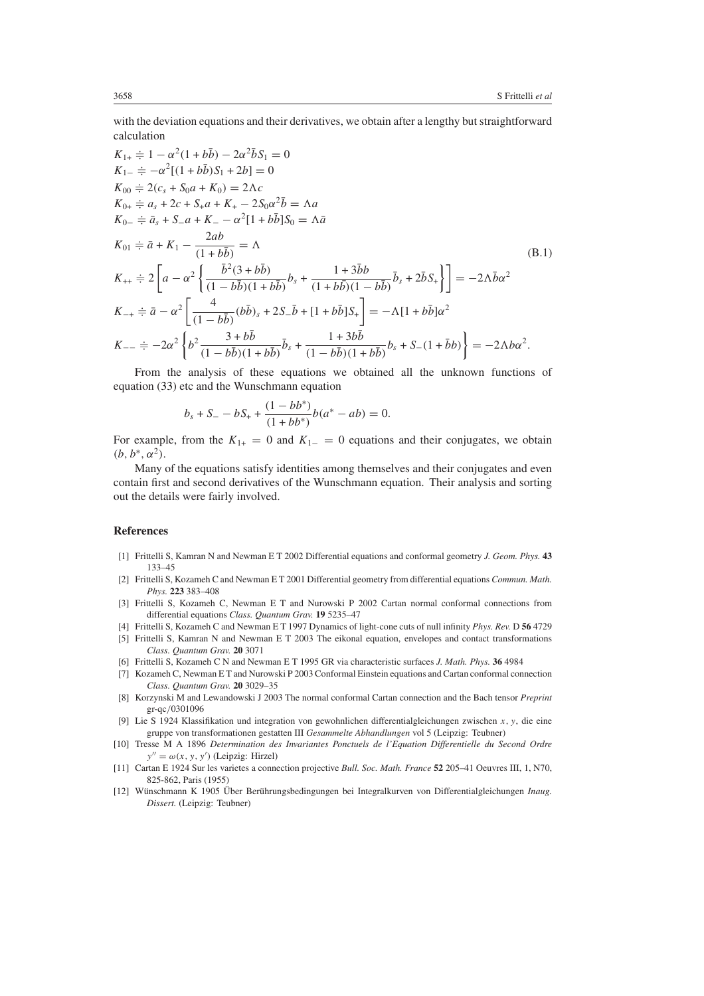with the deviation equations and their derivatives, we obtain after a lengthy but straightforward calculation

<span id="page-9-0"></span>
$$
K_{1+} \doteqdot \n\begin{aligned}\nK_{1+} &\doteqdot 1 - \alpha^2 (1 + b\bar{b}) - 2\alpha^2 \bar{b} S_1 = 0 \\
K_{1-} &\doteqdot 2(c_s + S_0 a + K_0) = 2\Lambda c \\
K_{0+} &\doteqdot 2(c_s + S_0 a + K_0) = 2\Lambda c \\
K_{0+} &\doteqdot \n\begin{aligned}\nK_{0-} &\doteqdot \n\begin{aligned}\n\bar{x}_1 + \bar{x}_2 + \bar{x}_3 + \bar{x}_4 + \bar{x}_4 - 2S_0 \alpha^2 \bar{b} = \Lambda a \\
K_{0-} &\doteqdot \n\end{aligned}\n\end{aligned}
$$
\n
$$
K_{01} \doteqdot \n\begin{aligned}\n\bar{a}_1 + K_1 - \frac{2ab}{(1 + b\bar{b})} = \Lambda \\
K_{01} &\doteqdot \n\begin{aligned}\n\bar{a}_1 + K_1 - \frac{2ab}{(1 + b\bar{b})} = \Lambda \\
\frac{\bar{b}_1^2 (3 + b\bar{b})}{(1 - b\bar{b})(1 + b\bar{b})} b_s + \frac{1 + 3\bar{b}b}{(1 + b\bar{b})(1 - b\bar{b})} \bar{b}_s + 2\bar{b} S_+ \end{aligned}\n\end{aligned}
$$
\n
$$
K_{-+} \doteqdot \n\begin{aligned}\n\bar{a}_1 = \alpha^2 \left[ \frac{4}{(1 - b\bar{b})(1 + b\bar{b})} (b\bar{b}) + 2S_{-} \bar{b} + [1 + b\bar{b}] S_+ \right] = -\Lambda [1 + b\bar{b}] \alpha^2 \\
K_{-+} \doteqdot \n\begin{aligned}\n\bar{a}_1 = -2\alpha^2 \left[ \frac{4}{(1 - b\bar{b})(1 + b\bar{b})} \bar{b}_s + \frac{1 + 3b\bar{b}}{(1 - b\bar{b})(1 + b\bar{b})} \bar{b}_s + S_{-}(1 + \bar{b}b) \right] = -2\Lambda b \alpha^2.\n\end{aligned}
$$

From the analysis of these equations we obtained all the unknown functions of equation [\(33\)](#page-6-3) etc and the Wunschmann equation

$$
b_s + S_- - bS_+ + \frac{(1 - bb^*)}{(1 + bb^*)}b(a^* - ab) = 0.
$$

For example, from the  $K_{1+} = 0$  and  $K_{1-} = 0$  equations and their conjugates, we obtain  $(b, b^*, \alpha^2)$ .

Many of the equations satisfy identities among themselves and their conjugates and even contain first and second derivatives of the Wunschmann equation. Their analysis and sorting out the details were fairly involved.

### **References**

- [1] Frittelli S, Kamran N and Newman E T 2002 Differential equations and conformal geometry *J. Geom. Phys.* **43** 133–45
- [2] Frittelli S, Kozameh C and Newman E T 2001 Differential geometry from differential equations *Commun. Math. Phys.* **223** 383–408
- [3] Frittelli S, Kozameh C, Newman E T and Nurowski P 2002 Cartan normal conformal connections from differential equations *Class. Quantum Grav.* **19** 5235–47
- [4] Frittelli S, Kozameh C and Newman E T 1997 Dynamics of light-cone cuts of null infinity *Phys. Rev.* D **56** 4729
- [5] Frittelli S, Kamran N and Newman E T 2003 The eikonal equation, envelopes and contact transformations *Class. Quantum Grav.* **20** 3071
- [6] Frittelli S, Kozameh C N and Newman E T 1995 GR via characteristic surfaces *J. Math. Phys.* **36** 4984
- [7] Kozameh C, Newman E T and Nurowski P 2003 Conformal Einstein equations and Cartan conformal connection *Class. Quantum Grav.* **20** 3029–35
- [8] Korzynski M and Lewandowski J 2003 The normal conformal Cartan connection and the Bach tensor *Preprint* gr-qc*/*0301096
- [9] Lie S 1924 Klassifikation und integration von gewohnlichen differentialgleichungen zwischen *x, y*, die eine gruppe von transformationen gestatten III *Gesammelte Abhandlungen* vol 5 (Leipzig: Teubner)
- [10] Tresse M A 1896 *Determination des Invariantes Ponctuels de l'Equation Differentielle du Second Ordre*  $y'' = \omega(x, y, y')$  (Leipzig: Hirzel)
- [11] Cartan E 1924 Sur les varietes a connection projective *Bull. Soc. Math. France* **52** 205–41 Oeuvres III, 1, N70, 825-862, Paris (1955)
- [12] Wünschmann K 1905 Über Berührungsbedingungen bei Integralkurven von Differentialgleichungen Inaug. *Dissert.* (Leipzig: Teubner)